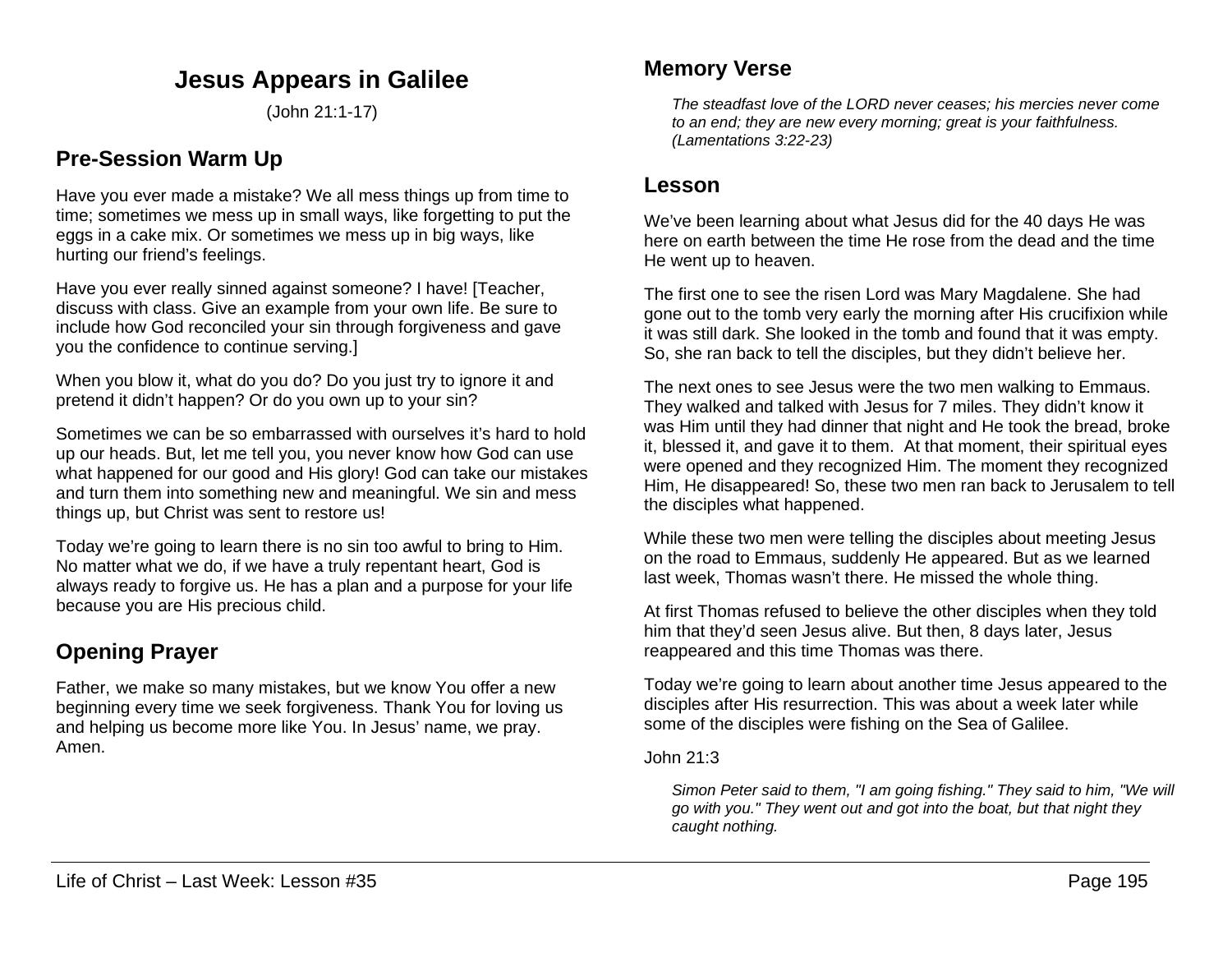## **Jesus Appears in Galilee**

(John 21:1-17)

## **Pre-Session Warm Up**

Have you ever made a mistake? We all mess things up from time to time; sometimes we mess up in small ways, like forgetting to put the eggs in a cake mix. Or sometimes we mess up in big ways, like hurting our friend's feelings.

Have you ever really sinned against someone? I have! [Teacher, discuss with class. Give an example from your own life. Be sure to include how God reconciled your sin through forgiveness and gave you the confidence to continue serving.]

When you blow it, what do you do? Do you just try to ignore it and pretend it didn't happen? Or do you own up to your sin?

Sometimes we can be so embarrassed with ourselves it's hard to hold up our heads. But, let me tell you, you never know how God can use what happened for our good and His glory! God can take our mistakes and turn them into something new and meaningful. We sin and mess things up, but Christ was sent to restore us!

Today we're going to learn there is no sin too awful to bring to Him. No matter what we do, if we have a truly repentant heart, God is always ready to forgive us. He has a plan and a purpose for your life because you are His precious child.

# **Opening Prayer**

Father, we make so many mistakes, but we know You offer a new beginning every time we seek forgiveness. Thank You for loving us and helping us become more like You. In Jesus' name, we pray. Amen.

### **Memory Verse**

*The steadfast love of the LORD never ceases; his mercies never come to an end; they are new every morning; great is your faithfulness. (Lamentations 3:22-23)*

### **Lesson**

We've been learning about what Jesus did for the 40 days He was here on earth between the time He rose from the dead and the time He went up to heaven.

The first one to see the risen Lord was Mary Magdalene. She had gone out to the tomb very early the morning after His crucifixion while it was still dark. She looked in the tomb and found that it was empty. So, she ran back to tell the disciples, but they didn't believe her.

The next ones to see Jesus were the two men walking to Emmaus. They walked and talked with Jesus for 7 miles. They didn't know it was Him until they had dinner that night and He took the bread, broke it, blessed it, and gave it to them. At that moment, their spiritual eyes were opened and they recognized Him. The moment they recognized Him, He disappeared! So, these two men ran back to Jerusalem to tell the disciples what happened.

While these two men were telling the disciples about meeting Jesus on the road to Emmaus, suddenly He appeared. But as we learned last week, Thomas wasn't there. He missed the whole thing.

At first Thomas refused to believe the other disciples when they told him that they'd seen Jesus alive. But then, 8 days later, Jesus reappeared and this time Thomas was there.

Today we're going to learn about another time Jesus appeared to the disciples after His resurrection. This was about a week later while some of the disciples were fishing on the Sea of Galilee.

John 21:3

*Simon Peter said to them, "I am going fishing." They said to him, "We will go with you." They went out and got into the boat, but that night they caught nothing.*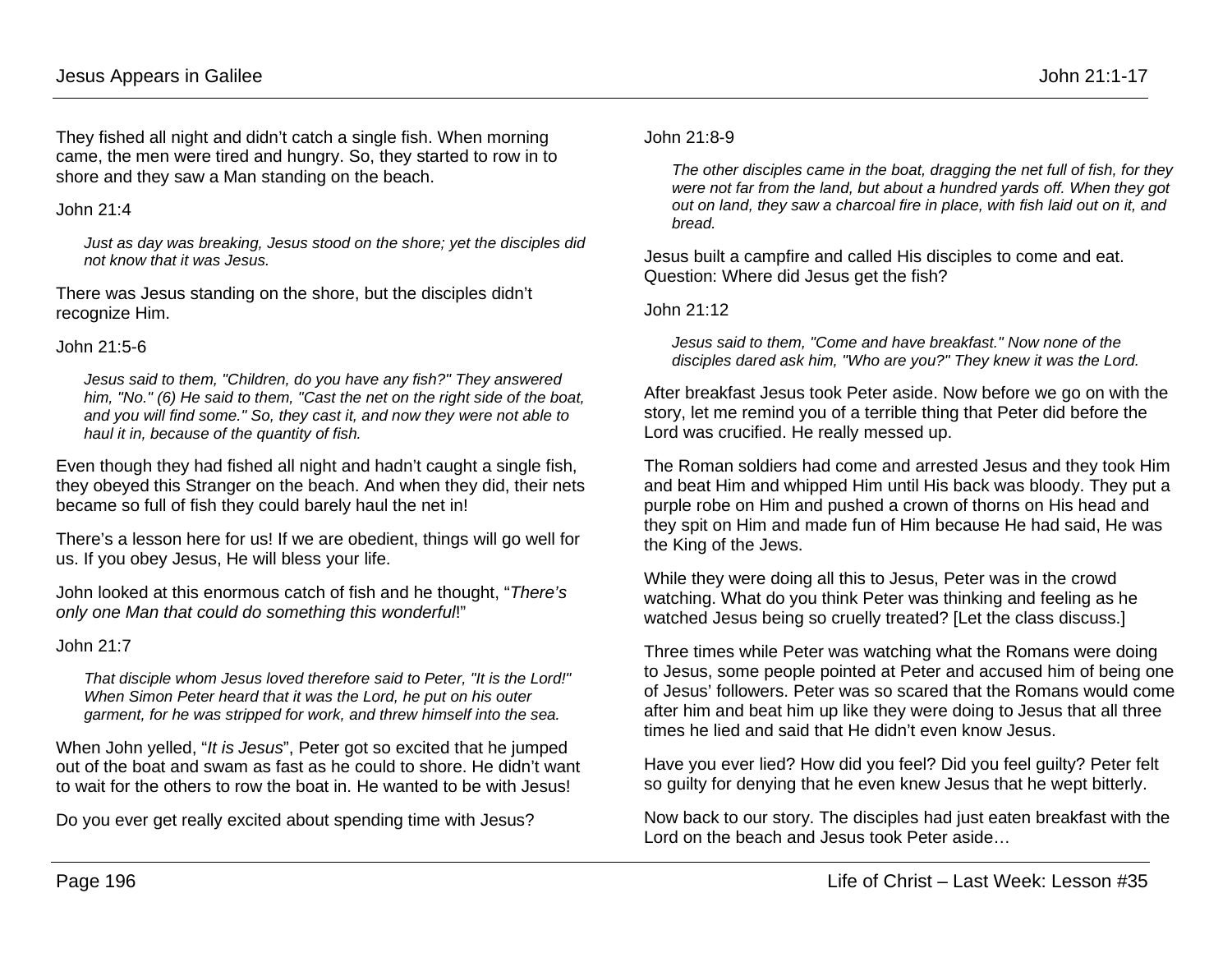They fished all night and didn't catch a single fish. When morning came, the men were tired and hungry. So, they started to row in to shore and they saw a Man standing on the beach.

John 21:4

*Just as day was breaking, Jesus stood on the shore; yet the disciples did not know that it was Jesus.*

There was Jesus standing on the shore, but the disciples didn't recognize Him.

### John 21:5-6

*Jesus said to them, "Children, do you have any fish?" They answered him, "No." (6) He said to them, "Cast the net on the right side of the boat, and you will find some." So, they cast it, and now they were not able to haul it in, because of the quantity of fish.*

Even though they had fished all night and hadn't caught a single fish, they obeyed this Stranger on the beach. And when they did, their nets became so full of fish they could barely haul the net in!

There's a lesson here for us! If we are obedient, things will go well for us. If you obey Jesus, He will bless your life.

John looked at this enormous catch of fish and he thought, "*There's only one Man that could do something this wonderful*!"

John 21:7

*That disciple whom Jesus loved therefore said to Peter, "It is the Lord!" When Simon Peter heard that it was the Lord, he put on his outer garment, for he was stripped for work, and threw himself into the sea.*

When John yelled, "*It is Jesus*", Peter got so excited that he jumped out of the boat and swam as fast as he could to shore. He didn't want to wait for the others to row the boat in. He wanted to be with Jesus!

Do you ever get really excited about spending time with Jesus?

#### John 21:8-9

*The other disciples came in the boat, dragging the net full of fish, for they were not far from the land, but about a hundred yards off. When they got out on land, they saw a charcoal fire in place, with fish laid out on it, and bread.*

Jesus built a campfire and called His disciples to come and eat. Question: Where did Jesus get the fish?

### John 21:12

*Jesus said to them, "Come and have breakfast." Now none of the disciples dared ask him, "Who are you?" They knew it was the Lord.*

After breakfast Jesus took Peter aside. Now before we go on with the story, let me remind you of a terrible thing that Peter did before the Lord was crucified. He really messed up.

The Roman soldiers had come and arrested Jesus and they took Him and beat Him and whipped Him until His back was bloody. They put a purple robe on Him and pushed a crown of thorns on His head and they spit on Him and made fun of Him because He had said, He was the King of the Jews.

While they were doing all this to Jesus, Peter was in the crowd watching. What do you think Peter was thinking and feeling as he watched Jesus being so cruelly treated? [Let the class discuss.]

Three times while Peter was watching what the Romans were doing to Jesus, some people pointed at Peter and accused him of being one of Jesus' followers. Peter was so scared that the Romans would come after him and beat him up like they were doing to Jesus that all three times he lied and said that He didn't even know Jesus.

Have you ever lied? How did you feel? Did you feel guilty? Peter felt so guilty for denying that he even knew Jesus that he wept bitterly.

Now back to our story. The disciples had just eaten breakfast with the Lord on the beach and Jesus took Peter aside…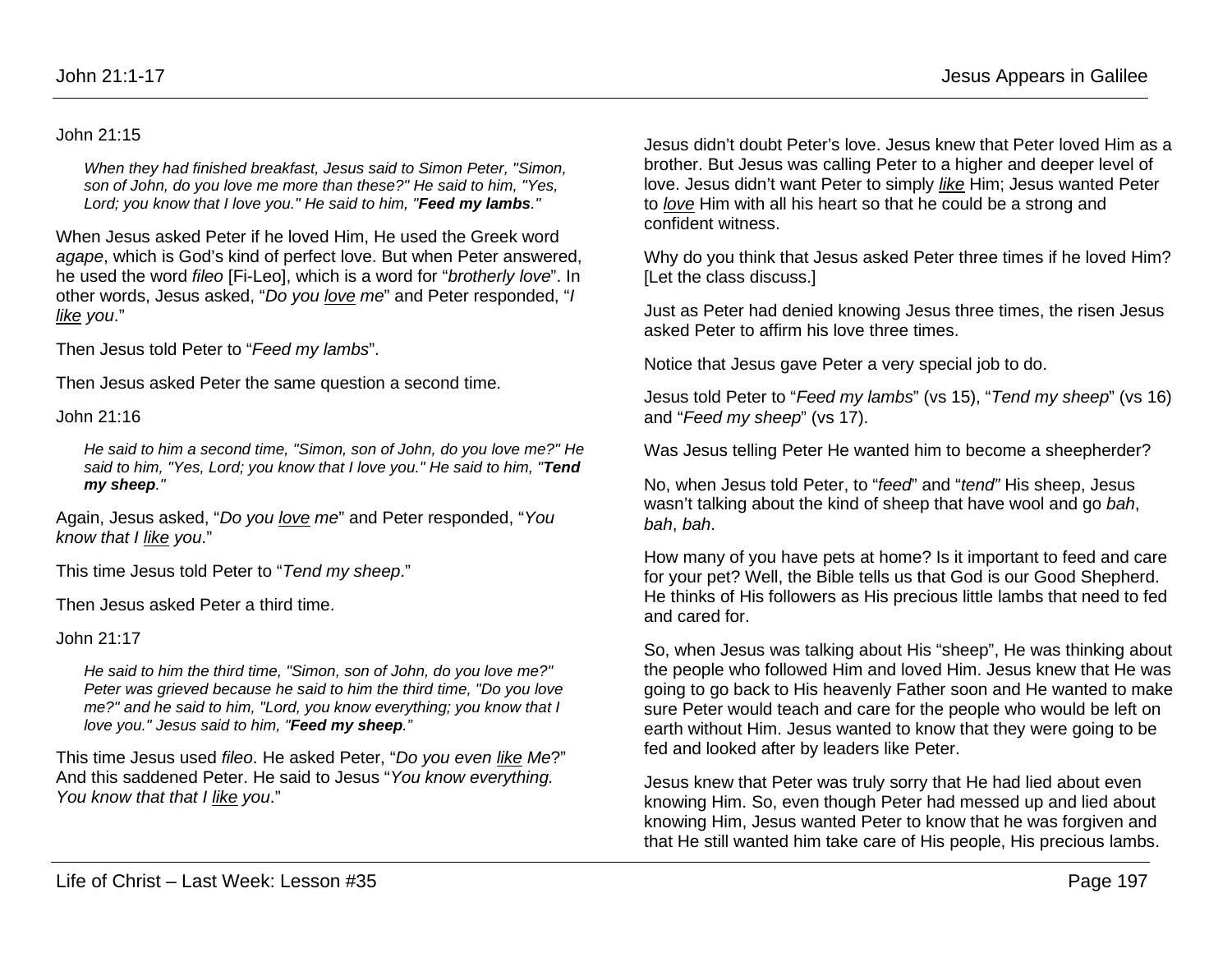#### John 21:15

*When they had finished breakfast, Jesus said to Simon Peter, "Simon, son of John, do you love me more than these?" He said to him, "Yes, Lord; you know that I love you." He said to him, "Feed my lambs."*

When Jesus asked Peter if he loved Him, He used the Greek word *agape*, which is God's kind of perfect love. But when Peter answered, he used the word *fileo* [Fi-Leo], which is a word for "*brotherly love*". In other words, Jesus asked, "*Do you love me*" and Peter responded, "*I like you*."

Then Jesus told Peter to "*Feed my lambs*".

Then Jesus asked Peter the same question a second time.

John 21:16

*He said to him a second time, "Simon, son of John, do you love me?" He said to him, "Yes, Lord; you know that I love you." He said to him, "Tend my sheep."*

Again, Jesus asked, "*Do you love me*" and Peter responded, "*You know that I like you*."

This time Jesus told Peter to "*Tend my sheep*."

Then Jesus asked Peter a third time.

John 21:17

*He said to him the third time, "Simon, son of John, do you love me?" Peter was grieved because he said to him the third time, "Do you love me?" and he said to him, "Lord, you know everything; you know that I love you." Jesus said to him, "Feed my sheep."*

This time Jesus used *fileo*. He asked Peter, "*Do you even like Me*?" And this saddened Peter. He said to Jesus "*You know everything. You know that that I like you*."

Jesus didn't doubt Peter's love. Jesus knew that Peter loved Him as a brother. But Jesus was calling Peter to a higher and deeper level of love. Jesus didn't want Peter to simply *like* Him; Jesus wanted Peter to *love* Him with all his heart so that he could be a strong and confident witness.

Why do you think that Jesus asked Peter three times if he loved Him? [Let the class discuss.]

Just as Peter had denied knowing Jesus three times, the risen Jesus asked Peter to affirm his love three times.

Notice that Jesus gave Peter a very special job to do.

Jesus told Peter to "*Feed my lambs*" (vs 15), "*Tend my sheep*" (vs 16) and "*Feed my sheep*" (vs 17).

Was Jesus telling Peter He wanted him to become a sheepherder?

No, when Jesus told Peter, to "*feed*" and "*tend"* His sheep, Jesus wasn't talking about the kind of sheep that have wool and go *bah*, *bah*, *bah*.

How many of you have pets at home? Is it important to feed and care for your pet? Well, the Bible tells us that God is our Good Shepherd. He thinks of His followers as His precious little lambs that need to fed and cared for.

So, when Jesus was talking about His "sheep", He was thinking about the people who followed Him and loved Him. Jesus knew that He was going to go back to His heavenly Father soon and He wanted to make sure Peter would teach and care for the people who would be left on earth without Him. Jesus wanted to know that they were going to be fed and looked after by leaders like Peter.

Jesus knew that Peter was truly sorry that He had lied about even knowing Him. So, even though Peter had messed up and lied about knowing Him, Jesus wanted Peter to know that he was forgiven and that He still wanted him take care of His people, His precious lambs.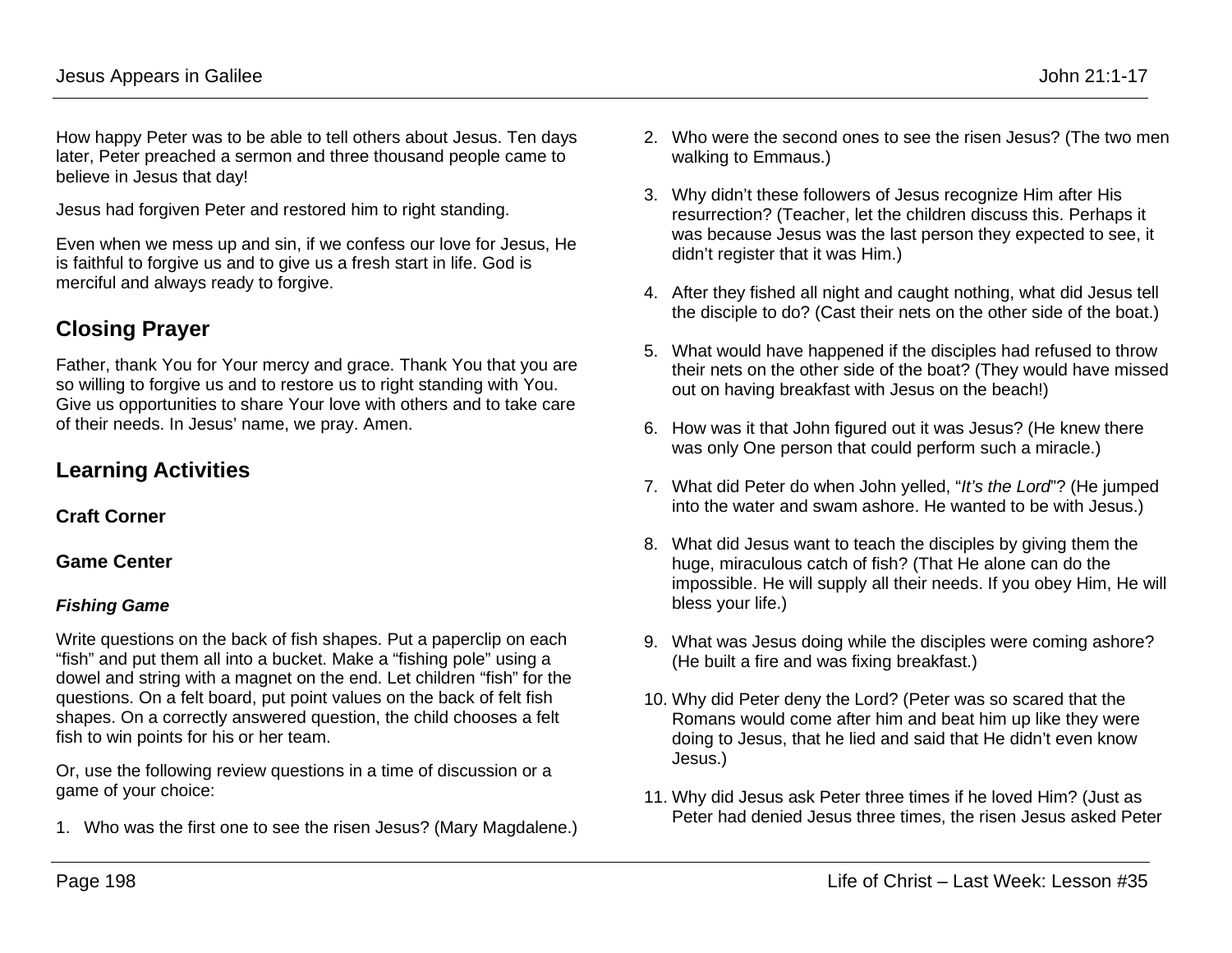How happy Peter was to be able to tell others about Jesus. Ten days later, Peter preached a sermon and three thousand people came to believe in Jesus that day!

Jesus had forgiven Peter and restored him to right standing.

Even when we mess up and sin, if we confess our love for Jesus, He is faithful to forgive us and to give us a fresh start in life. God is merciful and always ready to forgive.

# **Closing Prayer**

Father, thank You for Your mercy and grace. Thank You that you are so willing to forgive us and to restore us to right standing with You. Give us opportunities to share Your love with others and to take care of their needs. In Jesus' name, we pray. Amen.

### **Learning Activities**

#### **Craft Corner**

### **Game Center**

#### *Fishing Game*

Write questions on the back of fish shapes. Put a paperclip on each "fish" and put them all into a bucket. Make a "fishing pole" using a dowel and string with a magnet on the end. Let children "fish" for the questions. On a felt board, put point values on the back of felt fish shapes. On a correctly answered question, the child chooses a felt fish to win points for his or her team.

Or, use the following review questions in a time of discussion or a game of your choice:

1. Who was the first one to see the risen Jesus? (Mary Magdalene.)

- 2. Who were the second ones to see the risen Jesus? (The two men walking to Emmaus.)
- 3. Why didn't these followers of Jesus recognize Him after His resurrection? (Teacher, let the children discuss this. Perhaps it was because Jesus was the last person they expected to see, it didn't register that it was Him.)
- 4. After they fished all night and caught nothing, what did Jesus tell the disciple to do? (Cast their nets on the other side of the boat.)
- 5. What would have happened if the disciples had refused to throw their nets on the other side of the boat? (They would have missed out on having breakfast with Jesus on the beach!)
- 6. How was it that John figured out it was Jesus? (He knew there was only One person that could perform such a miracle.)
- 7. What did Peter do when John yelled, "*It's the Lord*"? (He jumped into the water and swam ashore. He wanted to be with Jesus.)
- 8. What did Jesus want to teach the disciples by giving them the huge, miraculous catch of fish? (That He alone can do the impossible. He will supply all their needs. If you obey Him, He will bless your life.)
- 9. What was Jesus doing while the disciples were coming ashore? (He built a fire and was fixing breakfast.)
- 10. Why did Peter deny the Lord? (Peter was so scared that the Romans would come after him and beat him up like they were doing to Jesus, that he lied and said that He didn't even know Jesus.)
- 11. Why did Jesus ask Peter three times if he loved Him? (Just as Peter had denied Jesus three times, the risen Jesus asked Peter